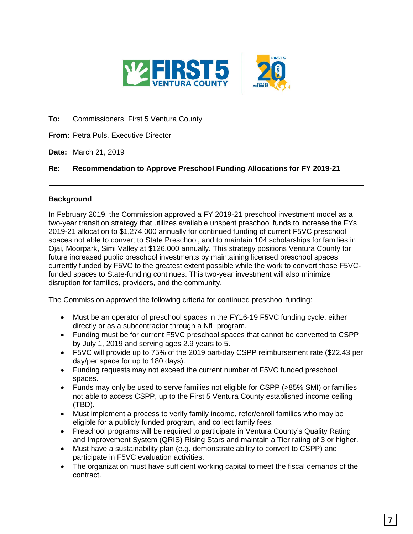

**To:** Commissioners, First 5 Ventura County

**From:** Petra Puls, Executive Director

**Date:** March 21, 2019

## **Re: Recommendation to Approve Preschool Funding Allocations for FY 2019-21**

### **Background**

In February 2019, the Commission approved a FY 2019-21 preschool investment model as a two-year transition strategy that utilizes available unspent preschool funds to increase the FYs 2019-21 allocation to \$1,274,000 annually for continued funding of current F5VC preschool spaces not able to convert to State Preschool, and to maintain 104 scholarships for families in Ojai, Moorpark, Simi Valley at \$126,000 annually. This strategy positions Ventura County for future increased public preschool investments by maintaining licensed preschool spaces currently funded by F5VC to the greatest extent possible while the work to convert those F5VCfunded spaces to State-funding continues. This two-year investment will also minimize disruption for families, providers, and the community.

The Commission approved the following criteria for continued preschool funding:

- Must be an operator of preschool spaces in the FY16-19 F5VC funding cycle, either directly or as a subcontractor through a NfL program.
- Funding must be for current F5VC preschool spaces that cannot be converted to CSPP by July 1, 2019 and serving ages 2.9 years to 5.
- F5VC will provide up to 75% of the 2019 part-day CSPP reimbursement rate (\$22.43 per day/per space for up to 180 days).
- Funding requests may not exceed the current number of F5VC funded preschool spaces.
- Funds may only be used to serve families not eligible for CSPP (>85% SMI) or families not able to access CSPP, up to the First 5 Ventura County established income ceiling (TBD).
- Must implement a process to verify family income, refer/enroll families who may be eligible for a publicly funded program, and collect family fees.
- Preschool programs will be required to participate in Ventura County's Quality Rating and Improvement System (QRIS) Rising Stars and maintain a Tier rating of 3 or higher.
- Must have a sustainability plan (e.g. demonstrate ability to convert to CSPP) and participate in F5VC evaluation activities.
- The organization must have sufficient working capital to meet the fiscal demands of the contract.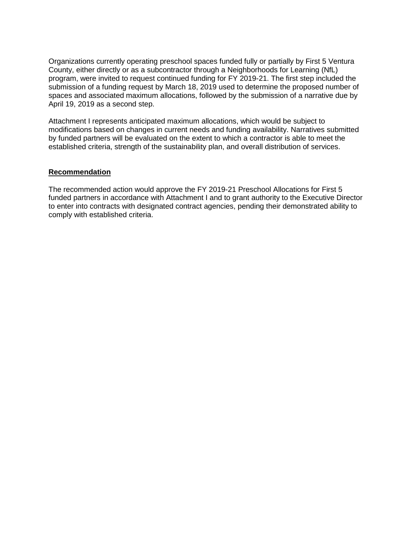Organizations currently operating preschool spaces funded fully or partially by First 5 Ventura County, either directly or as a subcontractor through a Neighborhoods for Learning (NfL) program, were invited to request continued funding for FY 2019-21. The first step included the submission of a funding request by March 18, 2019 used to determine the proposed number of spaces and associated maximum allocations, followed by the submission of a narrative due by April 19, 2019 as a second step.

Attachment I represents anticipated maximum allocations, which would be subject to modifications based on changes in current needs and funding availability. Narratives submitted by funded partners will be evaluated on the extent to which a contractor is able to meet the established criteria, strength of the sustainability plan, and overall distribution of services.

### **Recommendation**

The recommended action would approve the FY 2019-21 Preschool Allocations for First 5 funded partners in accordance with Attachment I and to grant authority to the Executive Director to enter into contracts with designated contract agencies, pending their demonstrated ability to comply with established criteria.